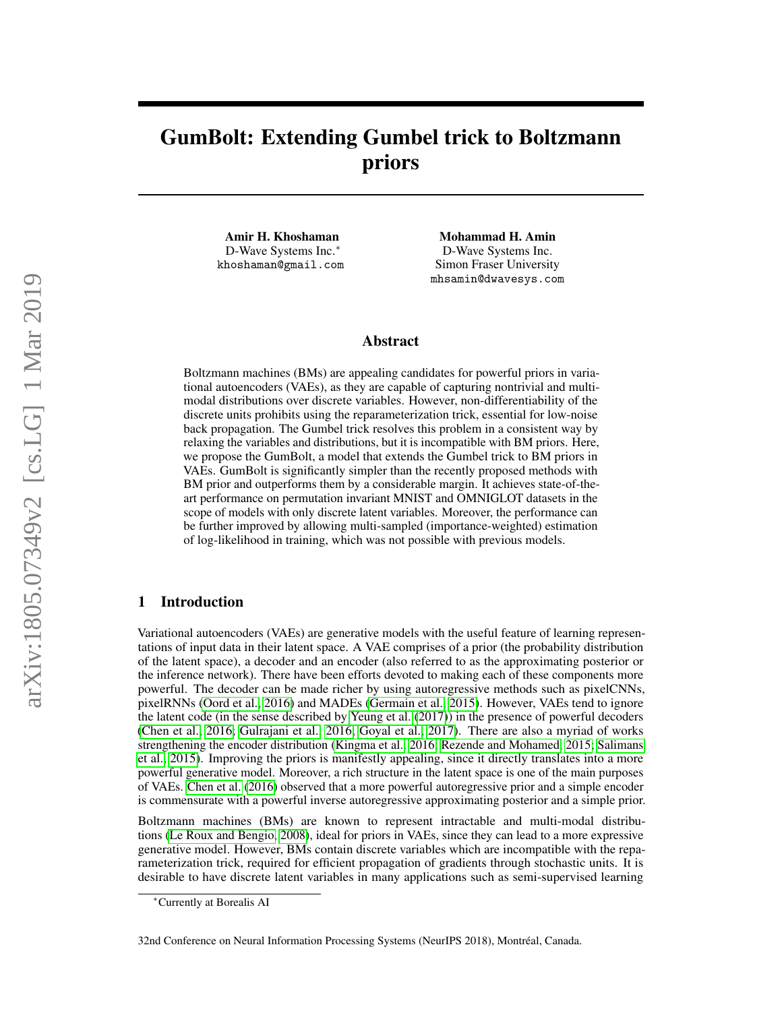# GumBolt: Extending Gumbel trick to Boltzmann priors

Amir H. Khoshaman D-Wave Systems Inc.<sup>∗</sup> khoshaman@gmail.com

Mohammad H. Amin D-Wave Systems Inc. Simon Fraser University mhsamin@dwavesys.com

#### Abstract

Boltzmann machines (BMs) are appealing candidates for powerful priors in variational autoencoders (VAEs), as they are capable of capturing nontrivial and multimodal distributions over discrete variables. However, non-differentiability of the discrete units prohibits using the reparameterization trick, essential for low-noise back propagation. The Gumbel trick resolves this problem in a consistent way by relaxing the variables and distributions, but it is incompatible with BM priors. Here, we propose the GumBolt, a model that extends the Gumbel trick to BM priors in VAEs. GumBolt is significantly simpler than the recently proposed methods with BM prior and outperforms them by a considerable margin. It achieves state-of-theart performance on permutation invariant MNIST and OMNIGLOT datasets in the scope of models with only discrete latent variables. Moreover, the performance can be further improved by allowing multi-sampled (importance-weighted) estimation of log-likelihood in training, which was not possible with previous models.

## 1 Introduction

Variational autoencoders (VAEs) are generative models with the useful feature of learning representations of input data in their latent space. A VAE comprises of a prior (the probability distribution of the latent space), a decoder and an encoder (also referred to as the approximating posterior or the inference network). There have been efforts devoted to making each of these components more powerful. The decoder can be made richer by using autoregressive methods such as pixelCNNs, pixelRNNs [\(Oord et al., 2016\)](#page-9-0) and MADEs [\(Germain et al., 2015\)](#page-8-0). However, VAEs tend to ignore the latent code (in the sense described by [Yeung et al.](#page-9-1) [\(2017\)](#page-9-1)) in the presence of powerful decoders [\(Chen et al., 2016;](#page-8-1) [Gulrajani et al., 2016;](#page-8-2) [Goyal et al., 2017\)](#page-8-3). There are also a myriad of works strengthening the encoder distribution [\(Kingma et al., 2016;](#page-8-4) [Rezende and Mohamed, 2015;](#page-9-2) [Salimans](#page-9-3) [et al., 2015\)](#page-9-3). Improving the priors is manifestly appealing, since it directly translates into a more powerful generative model. Moreover, a rich structure in the latent space is one of the main purposes of VAEs. [Chen et al.](#page-8-1) [\(2016\)](#page-8-1) observed that a more powerful autoregressive prior and a simple encoder is commensurate with a powerful inverse autoregressive approximating posterior and a simple prior.

Boltzmann machines (BMs) are known to represent intractable and multi-modal distributions [\(Le Roux and Bengio, 2008\)](#page-8-5), ideal for priors in VAEs, since they can lead to a more expressive generative model. However, BMs contain discrete variables which are incompatible with the reparameterization trick, required for efficient propagation of gradients through stochastic units. It is desirable to have discrete latent variables in many applications such as semi-supervised learning

<sup>∗</sup>Currently at Borealis AI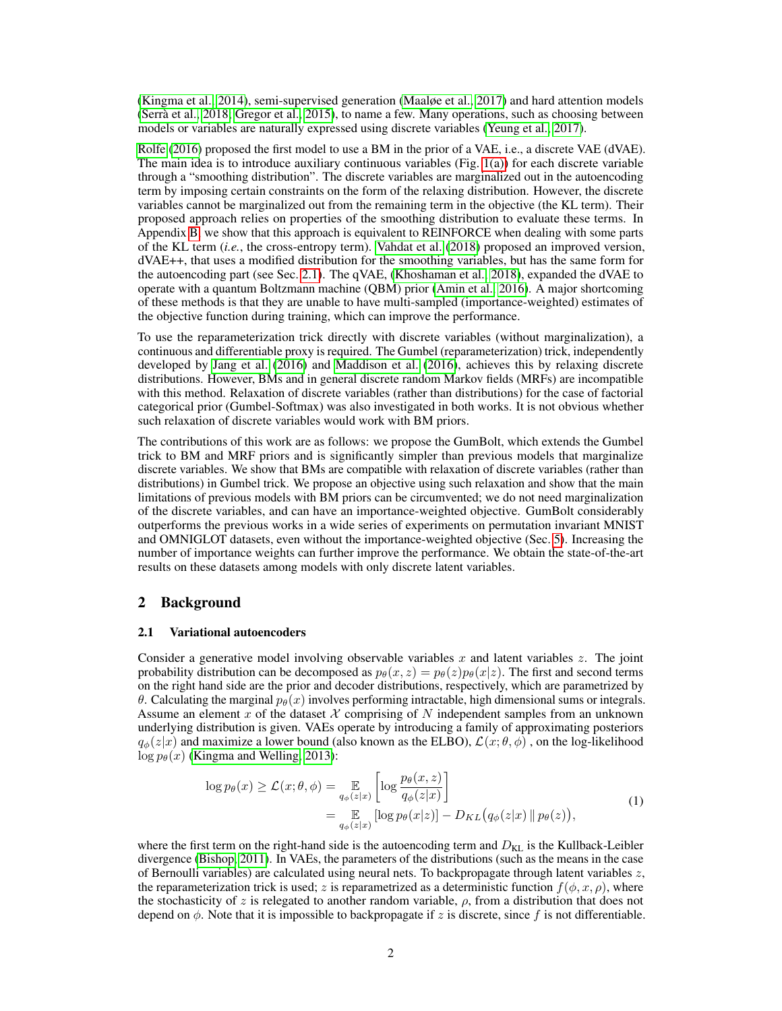[\(Kingma et al., 2014\)](#page-8-6), semi-supervised generation [\(Maaløe et al., 2017\)](#page-8-7) and hard attention models [\(Serrà et al., 2018;](#page-9-4) [Gregor et al., 2015\)](#page-8-8), to name a few. Many operations, such as choosing between models or variables are naturally expressed using discrete variables [\(Yeung et al., 2017\)](#page-9-1).

[Rolfe](#page-9-5) [\(2016\)](#page-9-5) proposed the first model to use a BM in the prior of a VAE, i.e., a discrete VAE (dVAE). The main idea is to introduce auxiliary continuous variables (Fig. [1\(a\)\)](#page-2-0) for each discrete variable through a "smoothing distribution". The discrete variables are marginalized out in the autoencoding term by imposing certain constraints on the form of the relaxing distribution. However, the discrete variables cannot be marginalized out from the remaining term in the objective (the KL term). Their proposed approach relies on properties of the smoothing distribution to evaluate these terms. In Appendix [B,](#page-10-0) we show that this approach is equivalent to REINFORCE when dealing with some parts of the KL term (*i.e.*, the cross-entropy term). [Vahdat et al.](#page-9-6) [\(2018\)](#page-9-6) proposed an improved version, dVAE++, that uses a modified distribution for the smoothing variables, but has the same form for the autoencoding part (see Sec. [2.1\)](#page-1-0). The qVAE, [\(Khoshaman et al., 2018\)](#page-8-9), expanded the dVAE to operate with a quantum Boltzmann machine (QBM) prior [\(Amin et al., 2016\)](#page-7-0). A major shortcoming of these methods is that they are unable to have multi-sampled (importance-weighted) estimates of the objective function during training, which can improve the performance.

To use the reparameterization trick directly with discrete variables (without marginalization), a continuous and differentiable proxy is required. The Gumbel (reparameterization) trick, independently developed by [Jang et al.](#page-8-10) [\(2016\)](#page-8-10) and [Maddison et al.](#page-8-11) [\(2016\)](#page-8-11), achieves this by relaxing discrete distributions. However, BMs and in general discrete random Markov fields (MRFs) are incompatible with this method. Relaxation of discrete variables (rather than distributions) for the case of factorial categorical prior (Gumbel-Softmax) was also investigated in both works. It is not obvious whether such relaxation of discrete variables would work with BM priors.

The contributions of this work are as follows: we propose the GumBolt, which extends the Gumbel trick to BM and MRF priors and is significantly simpler than previous models that marginalize discrete variables. We show that BMs are compatible with relaxation of discrete variables (rather than distributions) in Gumbel trick. We propose an objective using such relaxation and show that the main limitations of previous models with BM priors can be circumvented; we do not need marginalization of the discrete variables, and can have an importance-weighted objective. GumBolt considerably outperforms the previous works in a wide series of experiments on permutation invariant MNIST and OMNIGLOT datasets, even without the importance-weighted objective (Sec. [5\)](#page-5-0). Increasing the number of importance weights can further improve the performance. We obtain the state-of-the-art results on these datasets among models with only discrete latent variables.

### 2 Background

#### <span id="page-1-0"></span>2.1 Variational autoencoders

Consider a generative model involving observable variables x and latent variables z. The joint probability distribution can be decomposed as  $p_{\theta}(x, z) = p_{\theta}(z)p_{\theta}(x|z)$ . The first and second terms on the right hand side are the prior and decoder distributions, respectively, which are parametrized by θ. Calculating the marginal  $p<sub>θ</sub>(x)$  involves performing intractable, high dimensional sums or integrals. Assume an element x of the dataset  $X$  comprising of N independent samples from an unknown underlying distribution is given. VAEs operate by introducing a family of approximating posteriors  $q_{\phi}(z|x)$  and maximize a lower bound (also known as the ELBO),  $\mathcal{L}(x;\theta,\phi)$ , on the log-likelihood  $\log p_{\theta}(x)$  [\(Kingma and Welling, 2013\)](#page-8-12):

$$
\log p_{\theta}(x) \geq \mathcal{L}(x; \theta, \phi) = \mathop{\mathbb{E}}_{q_{\phi}(z|x)} \left[ \log \frac{p_{\theta}(x, z)}{q_{\phi}(z|x)} \right]
$$
  
= 
$$
\mathop{\mathbb{E}}_{q_{\phi}(z|x)} \left[ \log p_{\theta}(x|z) \right] - D_{KL} \left( q_{\phi}(z|x) \, \| \, p_{\theta}(z) \right),
$$
 (1)

where the first term on the right-hand side is the autoencoding term and  $D_{\text{KL}}$  is the Kullback-Leibler divergence [\(Bishop, 2011\)](#page-7-1). In VAEs, the parameters of the distributions (such as the means in the case of Bernoulli variables) are calculated using neural nets. To backpropagate through latent variables  $z$ , the reparameterization trick is used; z is reparametrized as a deterministic function  $f(\phi, x, \rho)$ , where the stochasticity of z is relegated to another random variable,  $\rho$ , from a distribution that does not depend on  $\phi$ . Note that it is impossible to backpropagate if z is discrete, since f is not differentiable.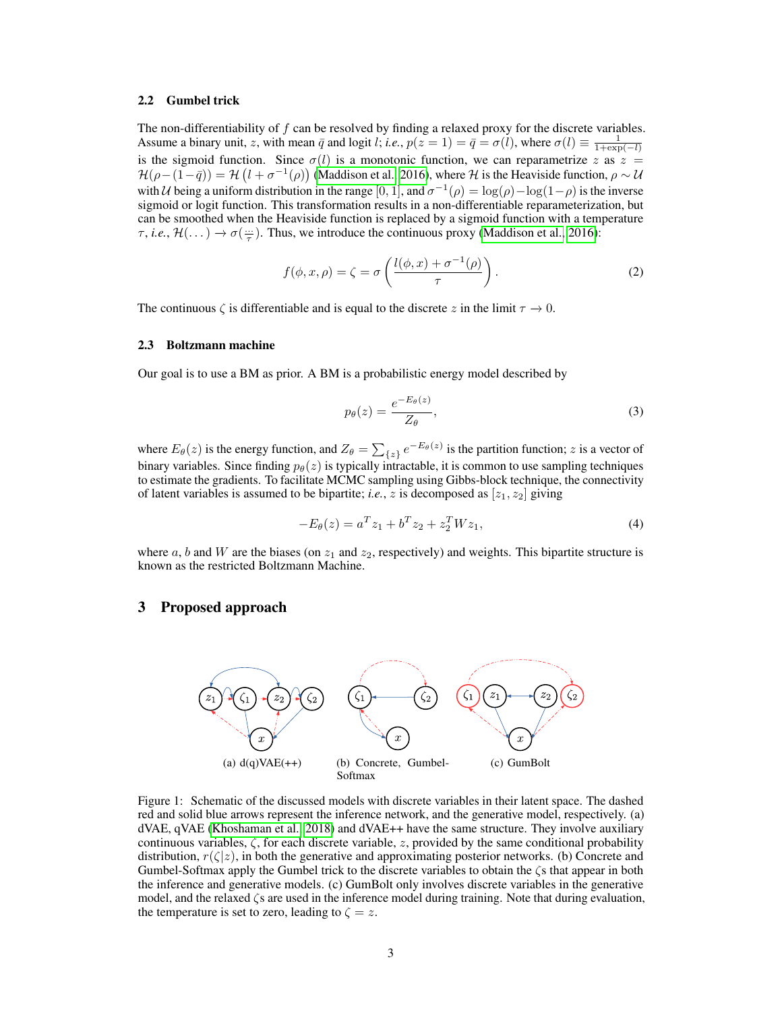#### <span id="page-2-3"></span>2.2 Gumbel trick

The non-differentiability of  $f$  can be resolved by finding a relaxed proxy for the discrete variables. Assume a binary unit, z, with mean  $\bar{q}$  and logit l; *i.e.*,  $p(z = 1) = \bar{q} = \sigma(\bar{l})$ , where  $\sigma(l) \equiv \frac{1}{1 + \exp(-l)}$ is the sigmoid function. Since  $\sigma(l)$  is a monotonic function, we can reparametrize z as  $z =$  $\mathcal{H}(\rho-(1-\bar{q}))=\mathcal{H}(\ell+\sigma^{-1}(\rho))$  [\(Maddison et al., 2016\)](#page-8-11), where  $\mathcal H$  is the Heaviside function,  $\rho\sim\mathcal U$ with U being a uniform distribution in the range [0, 1], and  $\sigma^{-1}(\rho) = \log(\rho) - \log(1-\rho)$  is the inverse sigmoid or logit function. This transformation results in a non-differentiable reparameterization, but can be smoothed when the Heaviside function is replaced by a sigmoid function with a temperature  $\tau$ , *i.e.*,  $\mathcal{H}(\ldots) \to \sigma(\frac{m}{\tau})$ . Thus, we introduce the continuous proxy [\(Maddison et al., 2016\)](#page-8-11):

$$
f(\phi, x, \rho) = \zeta = \sigma \left( \frac{l(\phi, x) + \sigma^{-1}(\rho)}{\tau} \right). \tag{2}
$$

The continuous  $\zeta$  is differentiable and is equal to the discrete z in the limit  $\tau \to 0$ .

#### 2.3 Boltzmann machine

Our goal is to use a BM as prior. A BM is a probabilistic energy model described by

<span id="page-2-1"></span>
$$
p_{\theta}(z) = \frac{e^{-E_{\theta}(z)}}{Z_{\theta}},
$$
\n(3)

where  $E_{\theta}(z)$  is the energy function, and  $Z_{\theta} = \sum_{\{z\}} e^{-E_{\theta}(z)}$  is the partition function; z is a vector of binary variables. Since finding  $p_{\theta}(z)$  is typically intractable, it is common to use sampling techniques to estimate the gradients. To facilitate MCMC sampling using Gibbs-block technique, the connectivity of latent variables is assumed to be bipartite; *i.e.*, *z* is decomposed as  $[z_1, z_2]$  giving

<span id="page-2-2"></span>
$$
-E_{\theta}(z) = a^T z_1 + b^T z_2 + z_2^T W z_1,
$$
\n(4)

where  $a$ ,  $b$  and  $W$  are the biases (on  $z_1$  and  $z_2$ , respectively) and weights. This bipartite structure is known as the restricted Boltzmann Machine.

## 3 Proposed approach

<span id="page-2-0"></span>

Figure 1: Schematic of the discussed models with discrete variables in their latent space. The dashed red and solid blue arrows represent the inference network, and the generative model, respectively. (a) dVAE, qVAE [\(Khoshaman et al., 2018\)](#page-8-9) and dVAE++ have the same structure. They involve auxiliary continuous variables,  $\zeta$ , for each discrete variable, z, provided by the same conditional probability distribution,  $r(\zeta|z)$ , in both the generative and approximating posterior networks. (b) Concrete and Gumbel-Softmax apply the Gumbel trick to the discrete variables to obtain the ζs that appear in both the inference and generative models. (c) GumBolt only involves discrete variables in the generative model, and the relaxed  $\zeta$ s are used in the inference model during training. Note that during evaluation, the temperature is set to zero, leading to  $\zeta = z$ .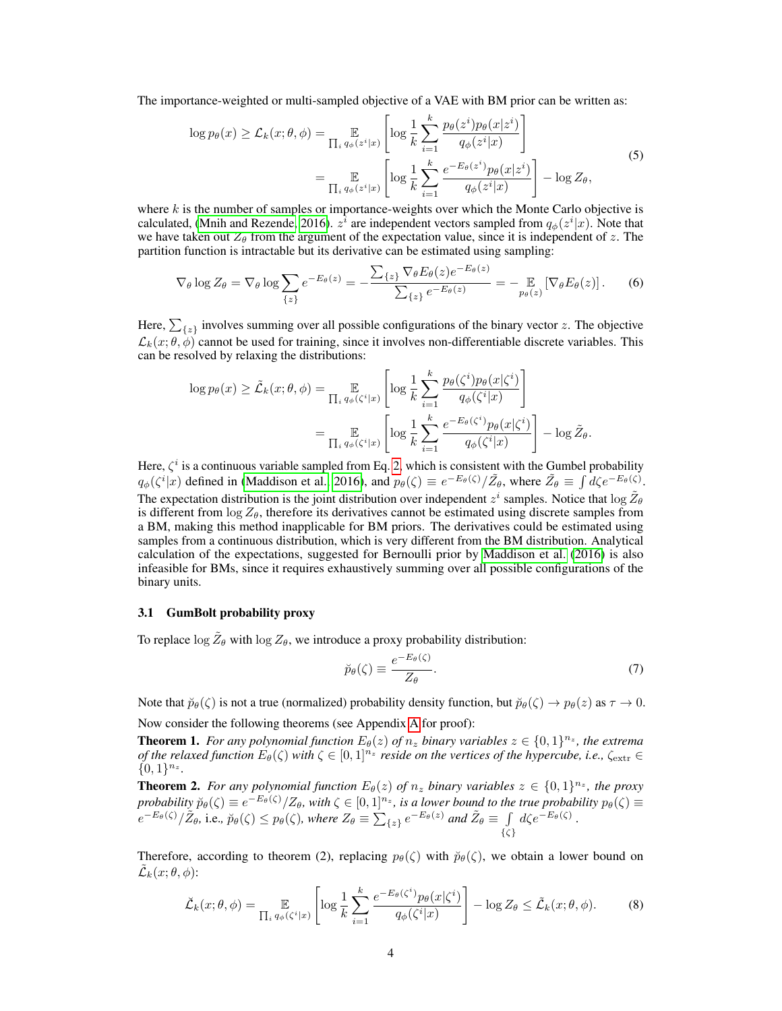The importance-weighted or multi-sampled objective of a VAE with BM prior can be written as:

$$
\log p_{\theta}(x) \geq \mathcal{L}_{k}(x; \theta, \phi) = \mathop{\mathbb{E}}_{\prod_{i} q_{\phi}(z^{i}|x)} \left[ \log \frac{1}{k} \sum_{i=1}^{k} \frac{p_{\theta}(z^{i}) p_{\theta}(x|z^{i})}{q_{\phi}(z^{i}|x)} \right]
$$
\n
$$
= \mathop{\mathbb{E}}_{\prod_{i} q_{\phi}(z^{i}|x)} \left[ \log \frac{1}{k} \sum_{i=1}^{k} \frac{e^{-E_{\theta}(z^{i})} p_{\theta}(x|z^{i})}{q_{\phi}(z^{i}|x)} \right] - \log Z_{\theta}, \tag{5}
$$

where  $k$  is the number of samples or importance-weights over which the Monte Carlo objective is calculated, [\(Mnih and Rezende, 2016\)](#page-9-7).  $z^{\hat{i}}$  are independent vectors sampled from  $q_{\phi}(z^i|x)$ . Note that we have taken out  $Z_{\theta}$  from the argument of the expectation value, since it is independent of z. The partition function is intractable but its derivative can be estimated using sampling:

$$
\nabla_{\theta} \log Z_{\theta} = \nabla_{\theta} \log \sum_{\{z\}} e^{-E_{\theta}(z)} = -\frac{\sum_{\{z\}} \nabla_{\theta} E_{\theta}(z) e^{-E_{\theta}(z)}}{\sum_{\{z\}} e^{-E_{\theta}(z)}} = -\mathop{\mathbb{E}}_{p_{\theta}(z)} \left[ \nabla_{\theta} E_{\theta}(z) \right].
$$
 (6)

Here,  $\sum_{\{z\}}$  involves summing over all possible configurations of the binary vector z. The objective  $\mathcal{L}_k(x;\theta,\phi)$  cannot be used for training, since it involves non-differentiable discrete variables. This can be resolved by relaxing the distributions:

$$
\log p_{\theta}(x) \geq \tilde{\mathcal{L}}_k(x; \theta, \phi) = \mathop{\mathbb{E}}_{\prod_i q_{\phi}(\zeta^i|x)} \left[ \log \frac{1}{k} \sum_{i=1}^k \frac{p_{\theta}(\zeta^i) p_{\theta}(x|\zeta^i)}{q_{\phi}(\zeta^i|x)} \right]
$$

$$
= \mathop{\mathbb{E}}_{\prod_i q_{\phi}(\zeta^i|x)} \left[ \log \frac{1}{k} \sum_{i=1}^k \frac{e^{-E_{\theta}(\zeta^i)} p_{\theta}(x|\zeta^i)}{q_{\phi}(\zeta^i|x)} \right] - \log \tilde{Z}_{\theta}.
$$

Here,  $\zeta^i$  is a continuous variable sampled from Eq. [2,](#page-2-1) which is consistent with the Gumbel probability  $q_{\phi}(\zeta^i|x)$  defined in [\(Maddison et al., 2016\)](#page-8-11), and  $p_{\theta}(\zeta) \equiv e^{-E_{\theta}(\zeta)}/\tilde{Z}_{\theta}$ , where  $\tilde{Z}_{\theta} \equiv \int d\zeta e^{-E_{\theta}(\zeta)}$ . The expectation distribution is the joint distribution over independent  $z^i$  samples. Notice that  $\log \tilde{Z}_{\theta}$ is different from  $\log Z_{\theta}$ , therefore its derivatives cannot be estimated using discrete samples from a BM, making this method inapplicable for BM priors. The derivatives could be estimated using samples from a continuous distribution, which is very different from the BM distribution. Analytical calculation of the expectations, suggested for Bernoulli prior by [Maddison et al.](#page-8-11) [\(2016\)](#page-8-11) is also infeasible for BMs, since it requires exhaustively summing over all possible configurations of the binary units.

## 3.1 GumBolt probability proxy

To replace  $\log \tilde{Z}_{\theta}$  with  $\log Z_{\theta}$ , we introduce a proxy probability distribution:

$$
\breve{p}_{\theta}(\zeta) \equiv \frac{e^{-E_{\theta}(\zeta)}}{Z_{\theta}}.\tag{7}
$$

Note that  $\tilde{p}_{\theta}(\zeta)$  is not a true (normalized) probability density function, but  $\tilde{p}_{\theta}(\zeta) \to p_{\theta}(z)$  as  $\tau \to 0$ .

Now consider the following theorems (see Appendix [A](#page-10-1) for proof):

**Theorem 1.** For any polynomial function  $E_{\theta}(z)$  of  $n_z$  binary variables  $z \in \{0,1\}^{n_z}$ , the extrema *of the relaxed function*  $E_{\theta}(\zeta)$  *with*  $\zeta \in [0,1]^{n_z}$  *reside on the vertices of the hypercube, i.e.,*  $\zeta_{\text{extr}} \in$  $\{0,1\}^{n_z}.$ 

**Theorem 2.** For any polynomial function  $E_{\theta}(z)$  of  $n_z$  binary variables  $z \in \{0,1\}^{n_z}$ , the proxy  $probability \check{p}_{\theta}(\zeta) \equiv e^{-E_{\theta}(\zeta)}/Z_{\theta}$ , with  $\zeta \in [0,1]^{n_z}$ , is a lower bound to the true probability  $p_{\theta}(\zeta) \equiv$  $e^{-E_{\theta}(\zeta)}/\tilde{Z}_{\theta}$ , i.e.,  $\tilde{p}_{\theta}(\zeta) \le p_{\theta}(\zeta)$ , where  $Z_{\theta} \equiv \sum_{\{z\}} e^{-E_{\theta}(z)}$  and  $\tilde{Z}_{\theta} \equiv \int$ {ζ}  $d\zeta e^{-E_{\theta}(\zeta)}$  .

Therefore, according to theorem (2), replacing  $p_{\theta}(\zeta)$  with  $\breve{p}_{\theta}(\zeta)$ , we obtain a lower bound on  $\mathcal{\tilde{L}}_k(x;\theta,\phi)$ :

$$
\check{\mathcal{L}}_k(x;\theta,\phi) = \mathop{\mathbb{E}}_{\prod_i q_\phi(\zeta^i|x)} \left[ \log \frac{1}{k} \sum_{i=1}^k \frac{e^{-E_\theta(\zeta^i)} p_\theta(x|\zeta^i)}{q_\phi(\zeta^i|x)} \right] - \log Z_\theta \le \tilde{\mathcal{L}}_k(x;\theta,\phi). \tag{8}
$$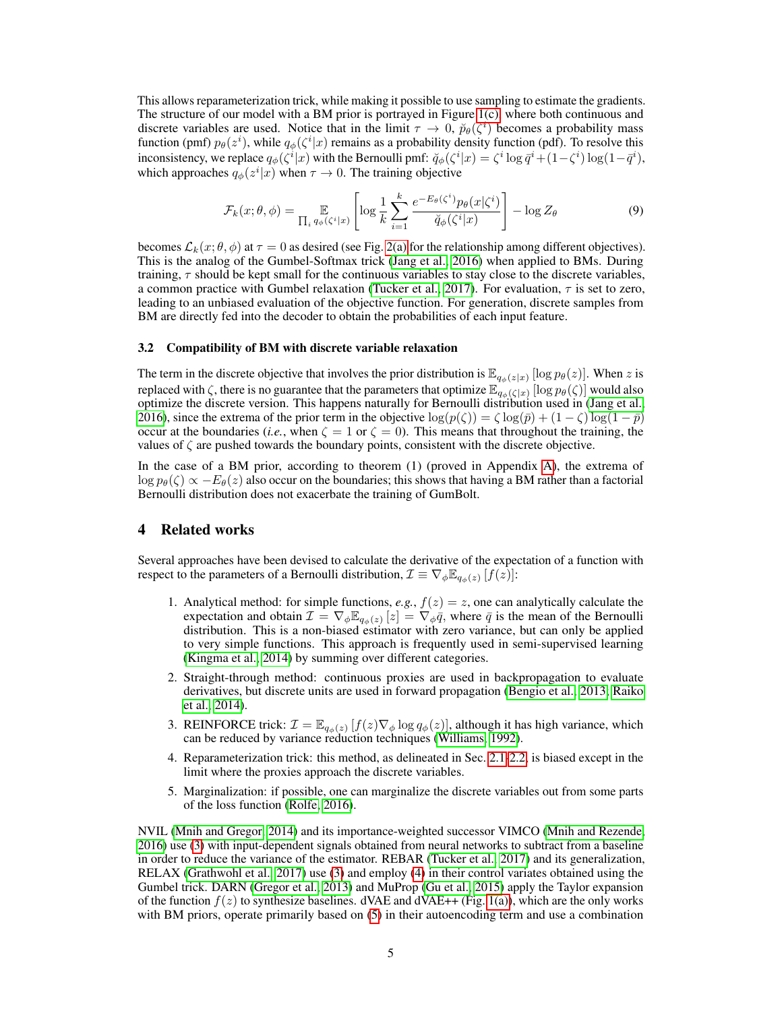This allows reparameterization trick, while making it possible to use sampling to estimate the gradients. The structure of our model with a BM prior is portrayed in Figure [1\(c\),](#page-2-2) where both continuous and discrete variables are used. Notice that in the limit  $\tau \to 0$ ,  $\tilde{p}_{\theta}(\zeta^i)$  becomes a probability mass function (pmf)  $p_{\theta}(z^i)$ , while  $q_{\phi}(\zeta^i|x)$  remains as a probability density function (pdf). To resolve this inconsistency, we replace  $q_{\phi}(\zeta^i|x)$  with the Bernoulli pmf:  $\check{q}_{\phi}(\zeta^i|x) = \zeta^i \log \bar{q}^i + (1-\zeta^i) \log(1-\bar{q}^i)$ , which approaches  $q_{\phi}(z^i|x)$  when  $\tau \to 0$ . The training objective

<span id="page-4-3"></span>
$$
\mathcal{F}_k(x; \theta, \phi) = \mathop{\mathbb{E}}_{\prod_i q_\phi(\zeta^i | x)} \left[ \log \frac{1}{k} \sum_{i=1}^k \frac{e^{-E_\theta(\zeta^i)} p_\theta(x | \zeta^i)}{\breve{q}_\phi(\zeta^i | x)} \right] - \log Z_\theta \tag{9}
$$

becomes  $\mathcal{L}_k(x; \theta, \phi)$  at  $\tau = 0$  as desired (see Fig. [2\(a\)](#page-6-0) for the relationship among different objectives). This is the analog of the Gumbel-Softmax trick [\(Jang et al., 2016\)](#page-8-10) when applied to BMs. During training,  $\tau$  should be kept small for the continuous variables to stay close to the discrete variables, a common practice with Gumbel relaxation [\(Tucker et al., 2017\)](#page-9-8). For evaluation,  $\tau$  is set to zero, leading to an unbiased evaluation of the objective function. For generation, discrete samples from BM are directly fed into the decoder to obtain the probabilities of each input feature.

#### 3.2 Compatibility of BM with discrete variable relaxation

The term in the discrete objective that involves the prior distribution is  $\mathbb{E}_{q_{\phi}(z|x)} [\log p_{\theta}(z)]$ . When z is replaced with  $\zeta$ , there is no guarantee that the parameters that optimize  $\mathbb{E}_{q_{\phi}(\zeta|x)}^{(\zeta)}$  [log  $p_{\theta}(\zeta)$ ] would also optimize the discrete version. This happens naturally for Bernoulli distribution used in [\(Jang et al.,](#page-8-10) [2016\)](#page-8-10), since the extrema of the prior term in the objective  $\log(p(\zeta)) = \zeta \log(\bar{p}) + (1 - \zeta) \log(1 - \bar{p})$ occur at the boundaries (*i.e.*, when  $\zeta = 1$  or  $\zeta = 0$ ). This means that throughout the training, the values of  $\zeta$  are pushed towards the boundary points, consistent with the discrete objective.

In the case of a BM prior, according to theorem (1) (proved in Appendix [A\)](#page-10-1), the extrema of  $\log p_{\theta}(\zeta) \propto -E_{\theta}(z)$  also occur on the boundaries; this shows that having a BM rather than a factorial Bernoulli distribution does not exacerbate the training of GumBolt.

## 4 Related works

Several approaches have been devised to calculate the derivative of the expectation of a function with respect to the parameters of a Bernoulli distribution,  $\mathcal{I} \equiv \nabla_{\phi} \mathbb{E}_{q_{\phi}(z)} [f(z)]$ :

- 1. Analytical method: for simple functions, *e.g.*,  $f(z) = z$ , one can analytically calculate the expectation and obtain  $\mathcal{I} = \nabla_{\phi} \mathbb{E}_{q_{\phi}(z)}[z] = \nabla_{\phi} \bar{q}$ , where  $\bar{q}$  is the mean of the Bernoulli distribution. This is a non-biased estimator with zero variance, but can only be applied to very simple functions. This approach is frequently used in semi-supervised learning [\(Kingma et al., 2014\)](#page-8-6) by summing over different categories.
- 2. Straight-through method: continuous proxies are used in backpropagation to evaluate derivatives, but discrete units are used in forward propagation [\(Bengio et al., 2013;](#page-7-2) [Raiko](#page-9-9) [et al., 2014\)](#page-9-9).
- <span id="page-4-0"></span>3. REINFORCE trick:  $\mathcal{I} = \mathbb{E}_{q_{\phi}(z)} [f(z) \nabla_{\phi} \log q_{\phi}(z)]$ , although it has high variance, which can be reduced by variance reduction techniques [\(Williams, 1992\)](#page-9-10).
- <span id="page-4-1"></span>4. Reparameterization trick: this method, as delineated in Sec. [2.1-](#page-1-0)[2.2,](#page-2-3) is biased except in the limit where the proxies approach the discrete variables.
- <span id="page-4-2"></span>5. Marginalization: if possible, one can marginalize the discrete variables out from some parts of the loss function [\(Rolfe, 2016\)](#page-9-5).

NVIL [\(Mnih and Gregor, 2014\)](#page-9-11) and its importance-weighted successor VIMCO [\(Mnih and Rezende,](#page-9-7) [2016\)](#page-9-7) use [\(3\)](#page-4-0) with input-dependent signals obtained from neural networks to subtract from a baseline in order to reduce the variance of the estimator. REBAR [\(Tucker et al., 2017\)](#page-9-8) and its generalization, RELAX [\(Grathwohl et al., 2017\)](#page-8-13) use [\(3\)](#page-4-0) and employ [\(4\)](#page-4-1) in their control variates obtained using the Gumbel trick. DARN [\(Gregor et al., 2013\)](#page-8-14) and MuProp [\(Gu et al., 2015\)](#page-8-15) apply the Taylor expansion of the function  $f(z)$  to synthesize baselines. dVAE and dVAE++ (Fig. [1\(a\)\)](#page-2-0), which are the only works with BM priors, operate primarily based on  $(5)$  in their autoencoding term and use a combination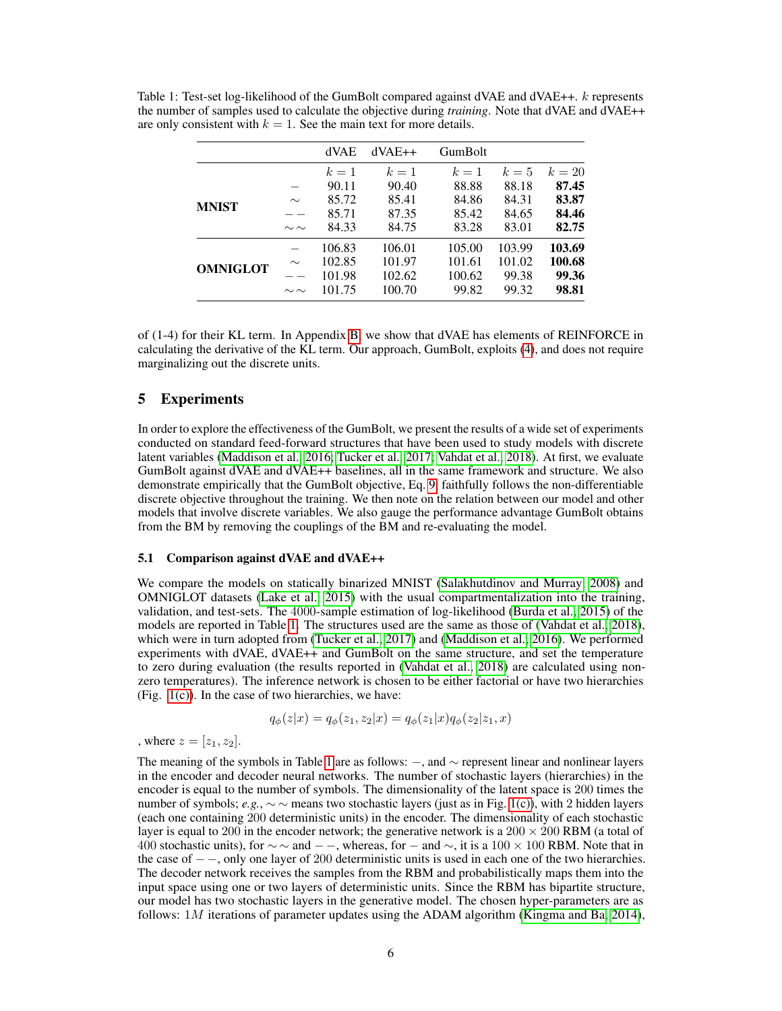|                 |               | <b>dVAE</b> | $dVAE++$ | GumBolt |        |        |
|-----------------|---------------|-------------|----------|---------|--------|--------|
|                 |               | $k=1$       | $k=1$    | $k=1$   | $k=5$  | $k=20$ |
| <b>MNIST</b>    |               | 90.11       | 90.40    | 88.88   | 88.18  | 87.45  |
|                 | $\sim$        | 85.72       | 85.41    | 84.86   | 84.31  | 83.87  |
|                 |               | 85.71       | 87.35    | 85.42   | 84.65  | 84.46  |
|                 | $\sim$ $\sim$ | 84.33       | 84.75    | 83.28   | 83.01  | 82.75  |
| <b>OMNIGLOT</b> |               | 106.83      | 106.01   | 105.00  | 103.99 | 103.69 |
|                 | $\sim$        | 102.85      | 101.97   | 101.61  | 101.02 | 100.68 |
|                 |               | 101.98      | 102.62   | 100.62  | 99.38  | 99.36  |
|                 | $\sim$ $\sim$ | 101.75      | 100.70   | 99.82   | 99.32  | 98.81  |

<span id="page-5-1"></span>Table 1: Test-set log-likelihood of the GumBolt compared against dVAE and dVAE++. k represents the number of samples used to calculate the objective during *training*. Note that dVAE and dVAE++ are only consistent with  $k = 1$ . See the main text for more details.

of (1-4) for their KL term. In Appendix [B,](#page-10-0) we show that dVAE has elements of REINFORCE in calculating the derivative of the KL term. Our approach, GumBolt, exploits [\(4\)](#page-4-1), and does not require marginalizing out the discrete units.

## <span id="page-5-0"></span>5 Experiments

In order to explore the effectiveness of the GumBolt, we present the results of a wide set of experiments conducted on standard feed-forward structures that have been used to study models with discrete latent variables [\(Maddison et al., 2016;](#page-8-11) [Tucker et al., 2017;](#page-9-8) [Vahdat et al., 2018\)](#page-9-6). At first, we evaluate GumBolt against dVAE and dVAE++ baselines, all in the same framework and structure. We also demonstrate empirically that the GumBolt objective, Eq. [9,](#page-4-3) faithfully follows the non-differentiable discrete objective throughout the training. We then note on the relation between our model and other models that involve discrete variables. We also gauge the performance advantage GumBolt obtains from the BM by removing the couplings of the BM and re-evaluating the model.

## 5.1 Comparison against dVAE and dVAE++

We compare the models on statically binarized MNIST [\(Salakhutdinov and Murray, 2008\)](#page-9-12) and OMNIGLOT datasets [\(Lake et al., 2015\)](#page-8-16) with the usual compartmentalization into the training, validation, and test-sets. The 4000-sample estimation of log-likelihood [\(Burda et al., 2015\)](#page-7-3) of the models are reported in Table [1.](#page-5-1) The structures used are the same as those of [\(Vahdat et al., 2018\)](#page-9-6), which were in turn adopted from [\(Tucker et al., 2017\)](#page-9-8) and [\(Maddison et al., 2016\)](#page-8-11). We performed experiments with dVAE, dVAE++ and GumBolt on the same structure, and set the temperature to zero during evaluation (the results reported in [\(Vahdat et al., 2018\)](#page-9-6) are calculated using nonzero temperatures). The inference network is chosen to be either factorial or have two hierarchies (Fig. [1\(c\)\)](#page-2-2). In the case of two hierarchies, we have:

$$
q_{\phi}(z|x) = q_{\phi}(z_1, z_2|x) = q_{\phi}(z_1|x)q_{\phi}(z_2|z_1, x)
$$

, where  $z = [z_1, z_2]$ .

The meaning of the symbols in Table [1](#page-5-1) are as follows: −, and ∼ represent linear and nonlinear layers in the encoder and decoder neural networks. The number of stochastic layers (hierarchies) in the encoder is equal to the number of symbols. The dimensionality of the latent space is 200 times the number of symbols; *e.g.*,  $\sim$  ∼ means two stochastic layers (just as in Fig. [1\(c\)\)](#page-2-2), with 2 hidden layers (each one containing 200 deterministic units) in the encoder. The dimensionality of each stochastic layer is equal to 200 in the encoder network; the generative network is a  $200 \times 200$  RBM (a total of 400 stochastic units), for  $\sim \sim$  and − −, whereas, for − and  $\sim$ , it is a 100  $\times$  100 RBM. Note that in the case of − −, only one layer of 200 deterministic units is used in each one of the two hierarchies. The decoder network receives the samples from the RBM and probabilistically maps them into the input space using one or two layers of deterministic units. Since the RBM has bipartite structure, our model has two stochastic layers in the generative model. The chosen hyper-parameters are as follows:  $1M$  iterations of parameter updates using the ADAM algorithm [\(Kingma and Ba, 2014\)](#page-8-17),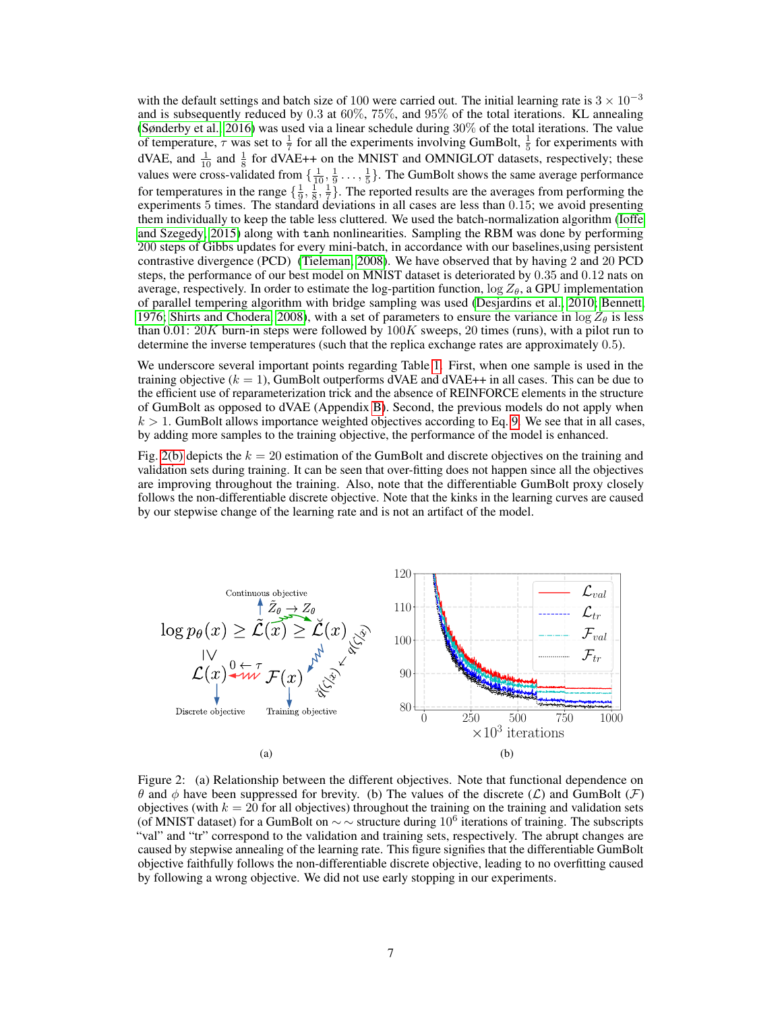with the default settings and batch size of 100 were carried out. The initial learning rate is  $3 \times 10^{-3}$ and is subsequently reduced by 0.3 at  $60\%$ ,  $75\%$ , and  $95\%$  of the total iterations. KL annealing [\(Sønderby et al., 2016\)](#page-9-13) was used via a linear schedule during 30% of the total iterations. The value of temperature,  $\tau$  was set to  $\frac{1}{7}$  for all the experiments involving GumBolt,  $\frac{1}{5}$  for experiments with dVAE, and  $\frac{1}{10}$  and  $\frac{1}{8}$  for dVAE++ on the MNIST and OMNIGLOT datasets, respectively; these values were cross-validated from  $\{\frac{1}{10}, \frac{1}{9}, \ldots, \frac{1}{5}\}$ . The GumBolt shows the same average performance for temperatures in the range  $\{\frac{1}{9}, \frac{1}{8}, \frac{1}{7}\}$ . The reported results are the averages from performing the experiments 5 times. The standard deviations in all cases are less than 0.15; we avoid presenting them individually to keep the table less cluttered. We used the batch-normalization algorithm [\(Ioffe](#page-8-18) [and Szegedy, 2015\)](#page-8-18) along with tanh nonlinearities. Sampling the RBM was done by performing 200 steps of Gibbs updates for every mini-batch, in accordance with our baselines,using persistent contrastive divergence (PCD) [\(Tieleman, 2008\)](#page-9-14). We have observed that by having 2 and 20 PCD steps, the performance of our best model on MNIST dataset is deteriorated by 0.35 and 0.12 nats on average, respectively. In order to estimate the log-partition function,  $\log Z_{\theta}$ , a GPU implementation of parallel tempering algorithm with bridge sampling was used [\(Desjardins et al., 2010;](#page-8-19) [Bennett,](#page-7-4) [1976;](#page-7-4) [Shirts and Chodera, 2008\)](#page-9-15), with a set of parameters to ensure the variance in  $\log Z_\theta$  is less than  $0.01: 20K$  burn-in steps were followed by  $100K$  sweeps, 20 times (runs), with a pilot run to determine the inverse temperatures (such that the replica exchange rates are approximately 0.5).

We underscore several important points regarding Table [1.](#page-5-1) First, when one sample is used in the training objective  $(k = 1)$ , GumBolt outperforms dVAE and dVAE++ in all cases. This can be due to the efficient use of reparameterization trick and the absence of REINFORCE elements in the structure of GumBolt as opposed to dVAE (Appendix [B\)](#page-10-0). Second, the previous models do not apply when  $k > 1$ . GumBolt allows importance weighted objectives according to Eq. [9.](#page-4-3) We see that in all cases, by adding more samples to the training objective, the performance of the model is enhanced.

Fig. [2\(b\)](#page-6-1) depicts the  $k = 20$  estimation of the GumBolt and discrete objectives on the training and validation sets during training. It can be seen that over-fitting does not happen since all the objectives are improving throughout the training. Also, note that the differentiable GumBolt proxy closely follows the non-differentiable discrete objective. Note that the kinks in the learning curves are caused by our stepwise change of the learning rate and is not an artifact of the model.

<span id="page-6-0"></span>

<span id="page-6-1"></span>Figure 2: (a) Relationship between the different objectives. Note that functional dependence on θ and φ have been suppressed for brevity. (b) The values of the discrete ( $\mathcal{L}$ ) and GumBolt ( $\mathcal{F}$ ) objectives (with  $k = 20$  for all objectives) throughout the training on the training and validation sets (of MNIST dataset) for a GumBolt on  $\sim$  ∼ structure during 10<sup>6</sup> iterations of training. The subscripts "val" and "tr" correspond to the validation and training sets, respectively. The abrupt changes are caused by stepwise annealing of the learning rate. This figure signifies that the differentiable GumBolt objective faithfully follows the non-differentiable discrete objective, leading to no overfitting caused by following a wrong objective. We did not use early stopping in our experiments.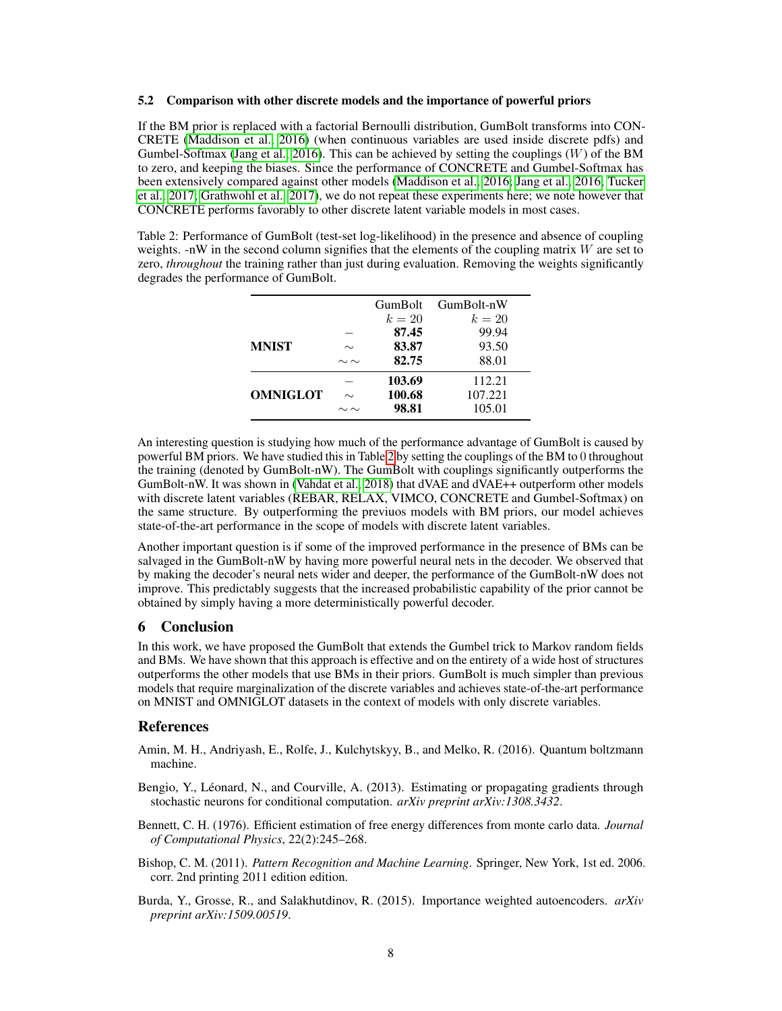#### 5.2 Comparison with other discrete models and the importance of powerful priors

If the BM prior is replaced with a factorial Bernoulli distribution, GumBolt transforms into CON-CRETE [\(Maddison et al., 2016\)](#page-8-11) (when continuous variables are used inside discrete pdfs) and Gumbel-Softmax [\(Jang et al., 2016\)](#page-8-10). This can be achieved by setting the couplings  $(W)$  of the BM to zero, and keeping the biases. Since the performance of CONCRETE and Gumbel-Softmax has been extensively compared against other models [\(Maddison et al., 2016;](#page-8-11) [Jang et al., 2016;](#page-8-10) [Tucker](#page-9-8) [et al., 2017;](#page-9-8) [Grathwohl et al., 2017\)](#page-8-13), we do not repeat these experiments here; we note however that CONCRETE performs favorably to other discrete latent variable models in most cases.

<span id="page-7-5"></span>Table 2: Performance of GumBolt (test-set log-likelihood) in the presence and absence of coupling weights.  $\text{-nW}$  in the second column signifies that the elements of the coupling matrix W are set to zero, *throughout* the training rather than just during evaluation. Removing the weights significantly degrades the performance of GumBolt.

|                 |               | GumBolt<br>$k=20$         | GumBolt-nW<br>$k=20$        |
|-----------------|---------------|---------------------------|-----------------------------|
| <b>MNIST</b>    | $\sim$        | 87.45<br>83.87            | 99.94<br>93.50              |
|                 | $\sim$ $\sim$ | 82.75                     | 88.01                       |
| <b>OMNIGLOT</b> | $\sim$        | 103.69<br>100.68<br>98.81 | 112.21<br>107.221<br>105.01 |

An interesting question is studying how much of the performance advantage of GumBolt is caused by powerful BM priors. We have studied this in Table [2](#page-7-5) by setting the couplings of the BM to 0 throughout the training (denoted by GumBolt-nW). The GumBolt with couplings significantly outperforms the GumBolt-nW. It was shown in [\(Vahdat et al., 2018\)](#page-9-6) that dVAE and dVAE++ outperform other models with discrete latent variables (REBAR, RELAX, VIMCO, CONCRETE and Gumbel-Softmax) on the same structure. By outperforming the previuos models with BM priors, our model achieves state-of-the-art performance in the scope of models with discrete latent variables.

Another important question is if some of the improved performance in the presence of BMs can be salvaged in the GumBolt-nW by having more powerful neural nets in the decoder. We observed that by making the decoder's neural nets wider and deeper, the performance of the GumBolt-nW does not improve. This predictably suggests that the increased probabilistic capability of the prior cannot be obtained by simply having a more deterministically powerful decoder.

## 6 Conclusion

In this work, we have proposed the GumBolt that extends the Gumbel trick to Markov random fields and BMs. We have shown that this approach is effective and on the entirety of a wide host of structures outperforms the other models that use BMs in their priors. GumBolt is much simpler than previous models that require marginalization of the discrete variables and achieves state-of-the-art performance on MNIST and OMNIGLOT datasets in the context of models with only discrete variables.

#### References

- <span id="page-7-0"></span>Amin, M. H., Andriyash, E., Rolfe, J., Kulchytskyy, B., and Melko, R. (2016). Quantum boltzmann machine.
- <span id="page-7-2"></span>Bengio, Y., Léonard, N., and Courville, A. (2013). Estimating or propagating gradients through stochastic neurons for conditional computation. *arXiv preprint arXiv:1308.3432*.
- <span id="page-7-4"></span>Bennett, C. H. (1976). Efficient estimation of free energy differences from monte carlo data. *Journal of Computational Physics*, 22(2):245–268.
- <span id="page-7-1"></span>Bishop, C. M. (2011). *Pattern Recognition and Machine Learning*. Springer, New York, 1st ed. 2006. corr. 2nd printing 2011 edition edition.
- <span id="page-7-3"></span>Burda, Y., Grosse, R., and Salakhutdinov, R. (2015). Importance weighted autoencoders. *arXiv preprint arXiv:1509.00519*.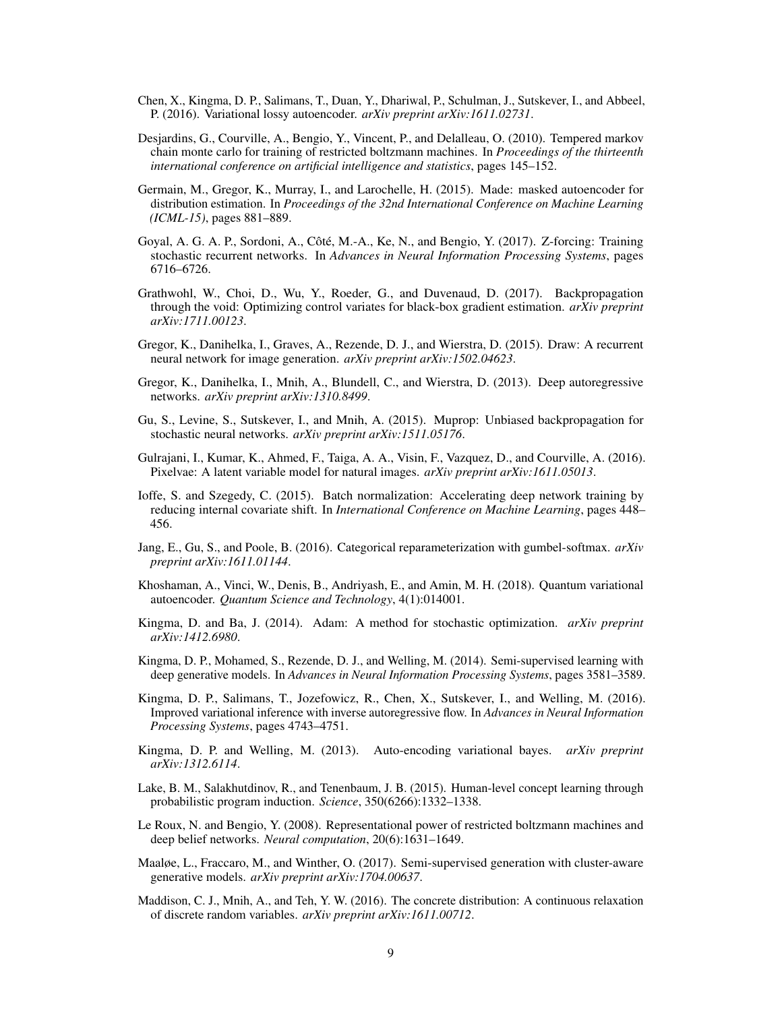- <span id="page-8-1"></span>Chen, X., Kingma, D. P., Salimans, T., Duan, Y., Dhariwal, P., Schulman, J., Sutskever, I., and Abbeel, P. (2016). Variational lossy autoencoder. *arXiv preprint arXiv:1611.02731*.
- <span id="page-8-19"></span>Desjardins, G., Courville, A., Bengio, Y., Vincent, P., and Delalleau, O. (2010). Tempered markov chain monte carlo for training of restricted boltzmann machines. In *Proceedings of the thirteenth international conference on artificial intelligence and statistics*, pages 145–152.
- <span id="page-8-0"></span>Germain, M., Gregor, K., Murray, I., and Larochelle, H. (2015). Made: masked autoencoder for distribution estimation. In *Proceedings of the 32nd International Conference on Machine Learning (ICML-15)*, pages 881–889.
- <span id="page-8-3"></span>Goyal, A. G. A. P., Sordoni, A., Côté, M.-A., Ke, N., and Bengio, Y. (2017). Z-forcing: Training stochastic recurrent networks. In *Advances in Neural Information Processing Systems*, pages 6716–6726.
- <span id="page-8-13"></span>Grathwohl, W., Choi, D., Wu, Y., Roeder, G., and Duvenaud, D. (2017). Backpropagation through the void: Optimizing control variates for black-box gradient estimation. *arXiv preprint arXiv:1711.00123*.
- <span id="page-8-8"></span>Gregor, K., Danihelka, I., Graves, A., Rezende, D. J., and Wierstra, D. (2015). Draw: A recurrent neural network for image generation. *arXiv preprint arXiv:1502.04623*.
- <span id="page-8-14"></span>Gregor, K., Danihelka, I., Mnih, A., Blundell, C., and Wierstra, D. (2013). Deep autoregressive networks. *arXiv preprint arXiv:1310.8499*.
- <span id="page-8-15"></span>Gu, S., Levine, S., Sutskever, I., and Mnih, A. (2015). Muprop: Unbiased backpropagation for stochastic neural networks. *arXiv preprint arXiv:1511.05176*.
- <span id="page-8-2"></span>Gulrajani, I., Kumar, K., Ahmed, F., Taiga, A. A., Visin, F., Vazquez, D., and Courville, A. (2016). Pixelvae: A latent variable model for natural images. *arXiv preprint arXiv:1611.05013*.
- <span id="page-8-18"></span>Ioffe, S. and Szegedy, C. (2015). Batch normalization: Accelerating deep network training by reducing internal covariate shift. In *International Conference on Machine Learning*, pages 448– 456.
- <span id="page-8-10"></span>Jang, E., Gu, S., and Poole, B. (2016). Categorical reparameterization with gumbel-softmax. *arXiv preprint arXiv:1611.01144*.
- <span id="page-8-9"></span>Khoshaman, A., Vinci, W., Denis, B., Andriyash, E., and Amin, M. H. (2018). Quantum variational autoencoder. *Quantum Science and Technology*, 4(1):014001.
- <span id="page-8-17"></span>Kingma, D. and Ba, J. (2014). Adam: A method for stochastic optimization. *arXiv preprint arXiv:1412.6980*.
- <span id="page-8-6"></span>Kingma, D. P., Mohamed, S., Rezende, D. J., and Welling, M. (2014). Semi-supervised learning with deep generative models. In *Advances in Neural Information Processing Systems*, pages 3581–3589.
- <span id="page-8-4"></span>Kingma, D. P., Salimans, T., Jozefowicz, R., Chen, X., Sutskever, I., and Welling, M. (2016). Improved variational inference with inverse autoregressive flow. In *Advances in Neural Information Processing Systems*, pages 4743–4751.
- <span id="page-8-12"></span>Kingma, D. P. and Welling, M. (2013). Auto-encoding variational bayes. *arXiv preprint arXiv:1312.6114*.
- <span id="page-8-16"></span>Lake, B. M., Salakhutdinov, R., and Tenenbaum, J. B. (2015). Human-level concept learning through probabilistic program induction. *Science*, 350(6266):1332–1338.
- <span id="page-8-5"></span>Le Roux, N. and Bengio, Y. (2008). Representational power of restricted boltzmann machines and deep belief networks. *Neural computation*, 20(6):1631–1649.
- <span id="page-8-7"></span>Maaløe, L., Fraccaro, M., and Winther, O. (2017). Semi-supervised generation with cluster-aware generative models. *arXiv preprint arXiv:1704.00637*.
- <span id="page-8-11"></span>Maddison, C. J., Mnih, A., and Teh, Y. W. (2016). The concrete distribution: A continuous relaxation of discrete random variables. *arXiv preprint arXiv:1611.00712*.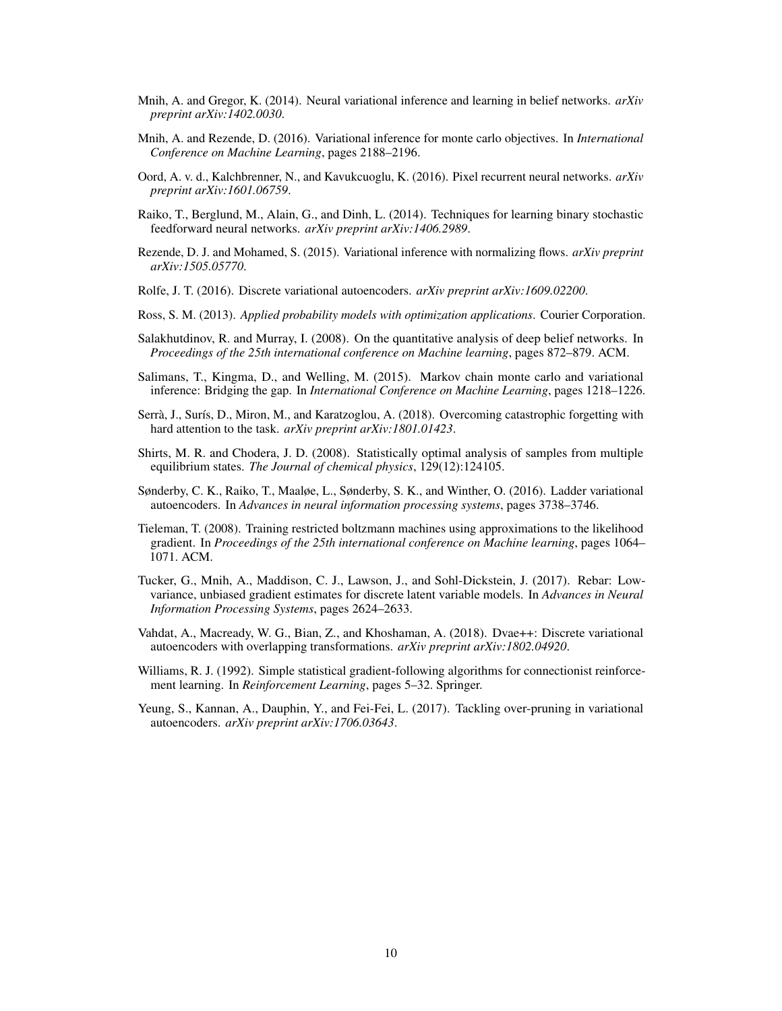- <span id="page-9-11"></span>Mnih, A. and Gregor, K. (2014). Neural variational inference and learning in belief networks. *arXiv preprint arXiv:1402.0030*.
- <span id="page-9-7"></span>Mnih, A. and Rezende, D. (2016). Variational inference for monte carlo objectives. In *International Conference on Machine Learning*, pages 2188–2196.
- <span id="page-9-0"></span>Oord, A. v. d., Kalchbrenner, N., and Kavukcuoglu, K. (2016). Pixel recurrent neural networks. *arXiv preprint arXiv:1601.06759*.
- <span id="page-9-9"></span>Raiko, T., Berglund, M., Alain, G., and Dinh, L. (2014). Techniques for learning binary stochastic feedforward neural networks. *arXiv preprint arXiv:1406.2989*.
- <span id="page-9-2"></span>Rezende, D. J. and Mohamed, S. (2015). Variational inference with normalizing flows. *arXiv preprint arXiv:1505.05770*.
- <span id="page-9-5"></span>Rolfe, J. T. (2016). Discrete variational autoencoders. *arXiv preprint arXiv:1609.02200*.
- <span id="page-9-16"></span>Ross, S. M. (2013). *Applied probability models with optimization applications*. Courier Corporation.
- <span id="page-9-12"></span>Salakhutdinov, R. and Murray, I. (2008). On the quantitative analysis of deep belief networks. In *Proceedings of the 25th international conference on Machine learning*, pages 872–879. ACM.
- <span id="page-9-3"></span>Salimans, T., Kingma, D., and Welling, M. (2015). Markov chain monte carlo and variational inference: Bridging the gap. In *International Conference on Machine Learning*, pages 1218–1226.
- <span id="page-9-4"></span>Serrà, J., Surís, D., Miron, M., and Karatzoglou, A. (2018). Overcoming catastrophic forgetting with hard attention to the task. *arXiv preprint arXiv:1801.01423*.
- <span id="page-9-15"></span>Shirts, M. R. and Chodera, J. D. (2008). Statistically optimal analysis of samples from multiple equilibrium states. *The Journal of chemical physics*, 129(12):124105.
- <span id="page-9-13"></span>Sønderby, C. K., Raiko, T., Maaløe, L., Sønderby, S. K., and Winther, O. (2016). Ladder variational autoencoders. In *Advances in neural information processing systems*, pages 3738–3746.
- <span id="page-9-14"></span>Tieleman, T. (2008). Training restricted boltzmann machines using approximations to the likelihood gradient. In *Proceedings of the 25th international conference on Machine learning*, pages 1064– 1071. ACM.
- <span id="page-9-8"></span>Tucker, G., Mnih, A., Maddison, C. J., Lawson, J., and Sohl-Dickstein, J. (2017). Rebar: Lowvariance, unbiased gradient estimates for discrete latent variable models. In *Advances in Neural Information Processing Systems*, pages 2624–2633.
- <span id="page-9-6"></span>Vahdat, A., Macready, W. G., Bian, Z., and Khoshaman, A. (2018). Dvae++: Discrete variational autoencoders with overlapping transformations. *arXiv preprint arXiv:1802.04920*.
- <span id="page-9-10"></span>Williams, R. J. (1992). Simple statistical gradient-following algorithms for connectionist reinforcement learning. In *Reinforcement Learning*, pages 5–32. Springer.
- <span id="page-9-1"></span>Yeung, S., Kannan, A., Dauphin, Y., and Fei-Fei, L. (2017). Tackling over-pruning in variational autoencoders. *arXiv preprint arXiv:1706.03643*.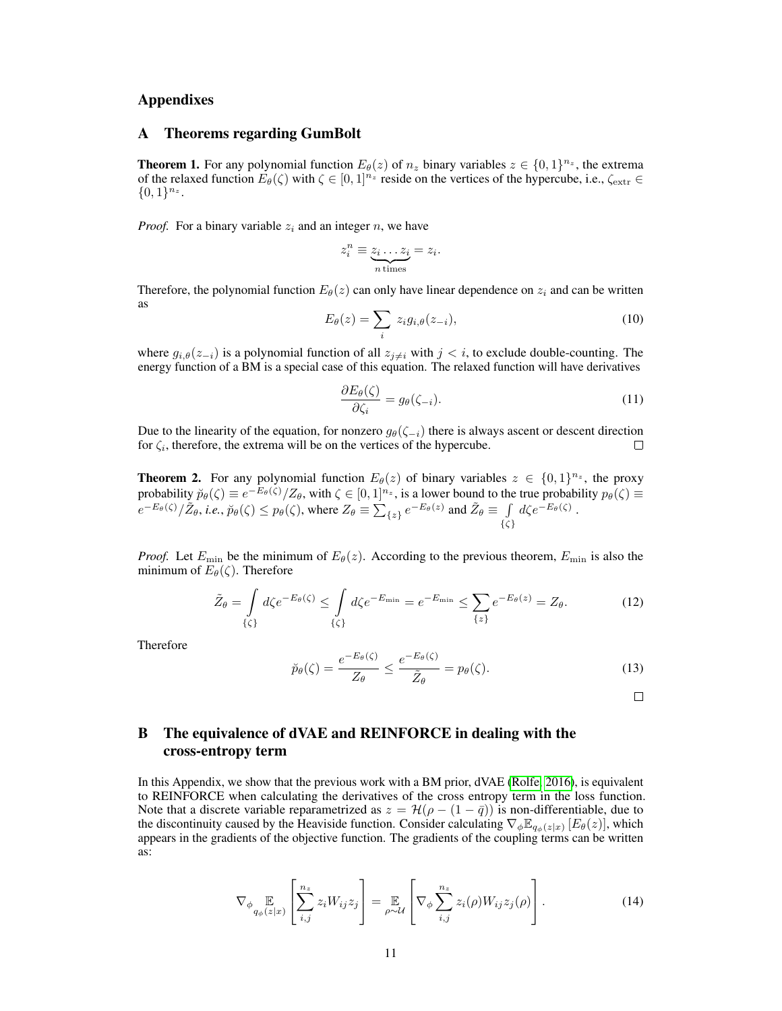## Appendixes

## <span id="page-10-1"></span>A Theorems regarding GumBolt

**Theorem 1.** For any polynomial function  $E_{\theta}(z)$  of  $n_z$  binary variables  $z \in \{0,1\}^{n_z}$ , the extrema of the relaxed function  $E_{\theta}(\zeta)$  with  $\zeta \in [0,1]^{n_z}$  reside on the vertices of the hypercube, i.e.,  $\zeta_{\text{extr}} \in$  $\{0,1\}^{n_z}.$ 

*Proof.* For a binary variable  $z_i$  and an integer n, we have

$$
z_i^n \equiv \underbrace{z_i \dots z_i}_{n \text{ times}} = z_i.
$$

Therefore, the polynomial function  $E_{\theta}(z)$  can only have linear dependence on  $z_i$  and can be written as

$$
E_{\theta}(z) = \sum_{i} z_i g_{i,\theta}(z_{-i}),
$$
\n(10)

where  $g_{i,\theta}(z_{-i})$  is a polynomial function of all  $z_{j\neq i}$  with  $j < i$ , to exclude double-counting. The energy function of a BM is a special case of this equation. The relaxed function will have derivatives

$$
\frac{\partial E_{\theta}(\zeta)}{\partial \zeta_i} = g_{\theta}(\zeta_{-i}).\tag{11}
$$

Due to the linearity of the equation, for nonzero  $g_{\theta}(\zeta_{-i})$  there is always ascent or descent direction for  $\zeta_i$ , therefore, the extrema will be on the vertices of the hypercube. □

**Theorem 2.** For any polynomial function  $E_{\theta}(z)$  of binary variables  $z \in \{0,1\}^{n_z}$ , the proxy probability  $\widetilde{p}_{\theta}(\zeta) \equiv e^{-E_{\theta}(\zeta)}/Z_{\theta}$ , with  $\zeta \in [0, 1]^{n_z}$ , is a lower bound to the true probability  $p_{\theta}(\zeta) \equiv$  $e^{-E_{\theta}(\zeta)}/\tilde{Z}_{\theta}$ , *i.e.*,  $\tilde{p}_{\theta}(\zeta) \le p_{\theta}(\zeta)$ , where  $Z_{\theta} \equiv \sum_{\{z\}} e^{-E_{\theta}(z)}$  and  $\tilde{Z}_{\theta} \equiv \int$ {ζ}  $d\zeta e^{-E_{\theta}(\zeta)}$  .

*Proof.* Let  $E_{\text{min}}$  be the minimum of  $E_{\theta}(z)$ . According to the previous theorem,  $E_{\text{min}}$  is also the minimum of  $E_{\theta}(\zeta)$ . Therefore

$$
\tilde{Z}_{\theta} = \int \limits_{\{\zeta\}} d\zeta e^{-E_{\theta}(\zeta)} \leq \int \limits_{\{\zeta\}} d\zeta e^{-E_{\min}} = e^{-E_{\min}} \leq \sum \limits_{\{z\}} e^{-E_{\theta}(z)} = Z_{\theta}.
$$
 (12)

Therefore

$$
\breve{p}_{\theta}(\zeta) = \frac{e^{-E_{\theta}(\zeta)}}{Z_{\theta}} \le \frac{e^{-E_{\theta}(\zeta)}}{\tilde{Z}_{\theta}} = p_{\theta}(\zeta). \tag{13}
$$

 $\Box$ 

# <span id="page-10-0"></span>B The equivalence of dVAE and REINFORCE in dealing with the cross-entropy term

In this Appendix, we show that the previous work with a BM prior, dVAE [\(Rolfe, 2016\)](#page-9-5), is equivalent to REINFORCE when calculating the derivatives of the cross entropy term in the loss function. Note that a discrete variable reparametrized as  $z = \mathcal{H}(\rho - (1 - \bar{q}))$  is non-differentiable, due to the discontinuity caused by the Heaviside function. Consider calculating  $\nabla_{\phi} \mathbb{E}_{q_{\phi}(z|x)} [E_{\theta}(z)]$ , which appears in the gradients of the objective function. The gradients of the coupling terms can be written as:

$$
\nabla_{\phi} \mathop{\mathbb{E}}_{q_{\phi}(z|x)} \left[ \sum_{i,j}^{n_z} z_i W_{ij} z_j \right] = \mathop{\mathbb{E}}_{\rho \sim \mathcal{U}} \left[ \nabla_{\phi} \sum_{i,j}^{n_z} z_i(\rho) W_{ij} z_j(\rho) \right]. \tag{14}
$$